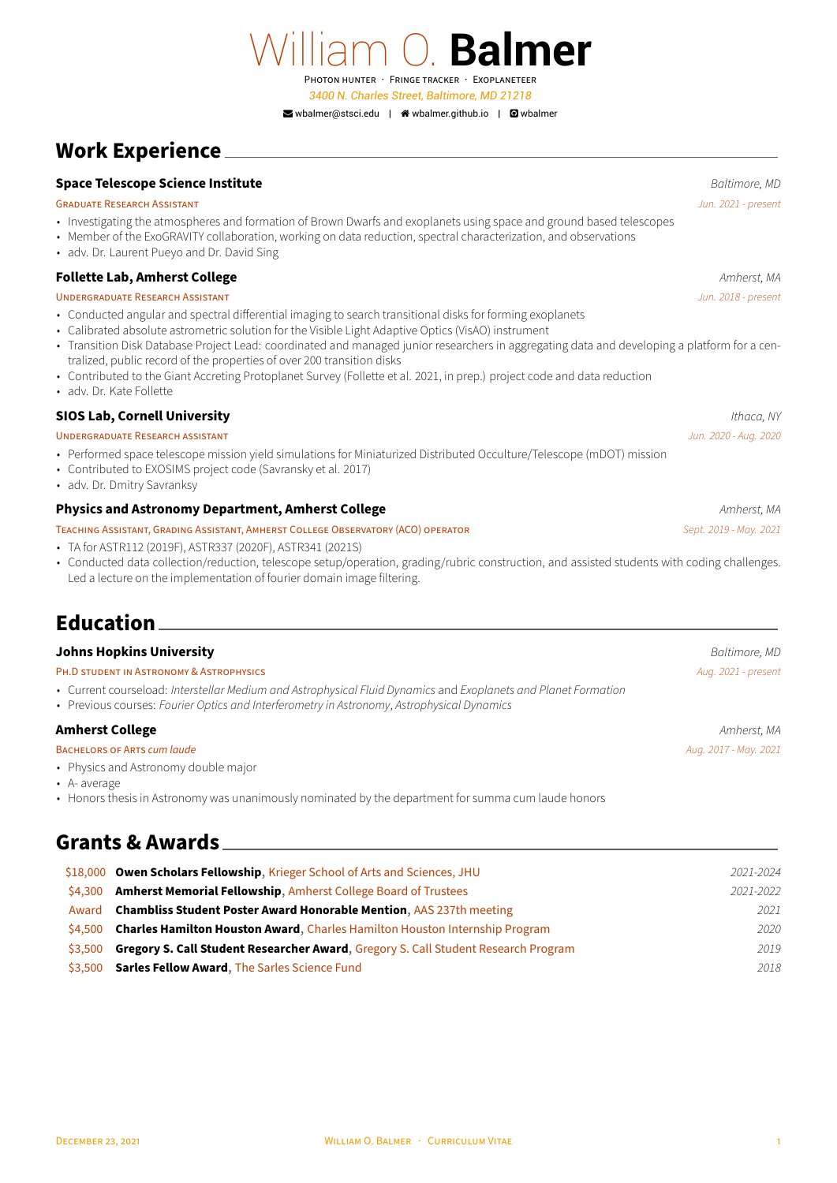William O. **Balmer** PHOTON HUNTER · FRiNGE TRACKER · EXOPLANETEER *3400 N. Charles Street, Baltimore, MD 21218* ■[wbalmer@stsci.edu](mailto:wbalmer@stsci.edu) | ● [wbalmer.github.io](http://wbalmer.github.io) | ■ [wbalmer](https://github.com/wbalmer)

# **Work Experience**

### **Space Telescope Science Institute** *Baltimore, MD*

### GRADUATE RESEARCH ASSiSTANT *Jun. 2021 ‑ present*

- Investigating the atmospheres and formation of Brown Dwarfs and exoplanets using space and ground based telescopes
- Member of the ExoGRAVITY collaboration, working on data reduction, spectral characterization, and observations
- adv. Dr. Laurent Pueyo and Dr. David Sing

### **Follette Lab, Amherst College Amherst College Amherst, MA**

### UNDERGRADUATE RESEARCH ASSiSTANT *Jun. 2018 ‑ present*

- Conducted angular and spectral differential imaging to search transitional disks for forming exoplanets
- Calibrated absolute astrometric solution for the Visible Light Adaptive Optics (VisAO) instrument
- Transition Disk Database Project Lead: coordinated and managed junior researchers in aggregating data and developing a platform for a centralized, public record of the properties of over 200 transition disks
- Contributed to the Giant Accreting Protoplanet Survey (Follette et al. 2021, in prep.) project code and data reduction • adv. Dr. Kate Follette
- 

### **SIOS Lab, Cornell University** *Ithaca, NY* UNDERGRADUATE RESEARCH ASSiSTANT *Jun. 2020 ‑ Aug. 2020*

- Performed space telescope mission yield simulations for Miniaturized Distributed Occulture/Telescope (mDOT) mission
- Contributed to EXOSIMS project code (Savransky et al. 2017)
- adv. Dr. Dmitry Savranksy

### **Physics and Astronomy Department, Amherst College** *Amherst**Amherst, MA**Amherst, MA*

#### TEACHiNG ASSiSTANT, GRADiNG ASSiSTANT, AMHERST COLLEGE OBSERVATORY (ACO) OPERATOR *Sept. 2019 ‑ May. 2021*

- TA for ASTR112 (2019F), ASTR337 (2020F), ASTR341 (2021S)
- Conducted data collection/reduction, telescope setup/operation, grading/rubric construction, and assisted students with coding challenges. Led a lecture on the implementation of fourier domain image filtering.

# **Education**

### **Johns Hopkins University** *Baltimore, MD*

| PH.D STUDENT IN ASTRONOMY & ASTROPHYSICS | Aug. 2021 - present |
|------------------------------------------|---------------------|
|                                          |                     |

- Current courseload: *Interstellar Medium and Astrophysical Fluid Dynamics* and *Exoplanets and Planet Formation*
- Previous courses: *Fourier Optics and Interferometry in Astronomy*, *Astrophysical Dynamics*

### **Amherst College** *Amherst, MA*

#### BACHELORS OF ARTS *cum laude Aug. 2017 ‑ May. 2021*

- Physics and Astronomy double major
- A‑ average
- Honors thesis in Astronomy was unanimously nominated by the department for summa cum laude honors

## **Grants & Awards**

|         | \$18,000 Owen Scholars Fellowship, Krieger School of Arts and Sciences, JHU               | 2021-2024 |
|---------|-------------------------------------------------------------------------------------------|-----------|
| \$4.300 | <b>Amherst Memorial Fellowship, Amherst College Board of Trustees</b>                     | 2021-2022 |
| Award   | <b>Chambliss Student Poster Award Honorable Mention, AAS 237th meeting</b>                | 2021      |
| S4.500  | <b>Charles Hamilton Houston Award, Charles Hamilton Houston Internship Program</b>        | 2020      |
| \$3,500 | <b>Gregory S. Call Student Researcher Award, Gregory S. Call Student Research Program</b> | 2019      |
| \$3.500 | <b>Sarles Fellow Award, The Sarles Science Fund</b>                                       | 2018      |